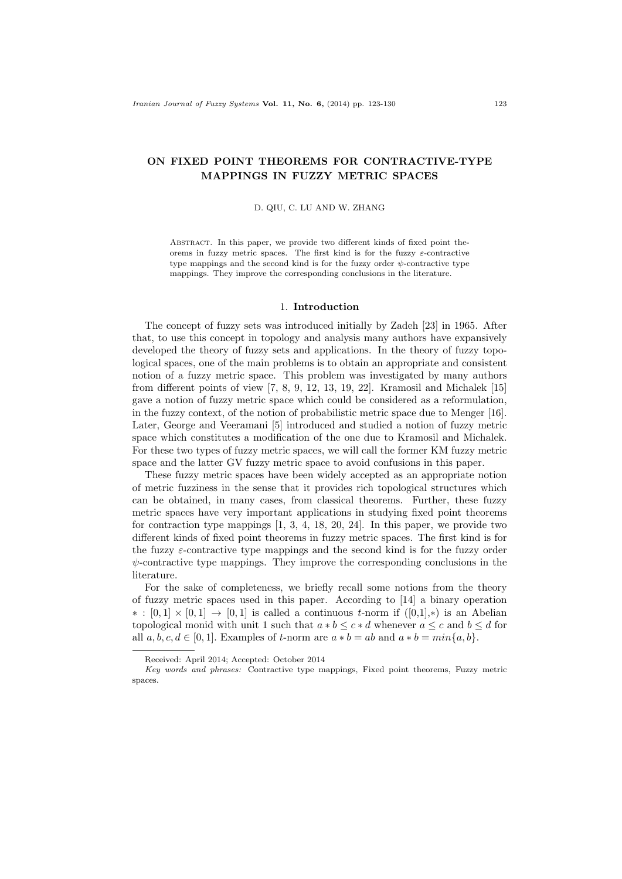# ON FIXED POINT THEOREMS FOR CONTRACTIVE-TYPE MAPPINGS IN FUZZY METRIC SPACES

#### D. QIU, C. LU AND W. ZHANG

Abstract. In this paper, we provide two different kinds of fixed point theorems in fuzzy metric spaces. The first kind is for the fuzzy  $\varepsilon$ -contractive type mappings and the second kind is for the fuzzy order  $\psi$ -contractive type mappings. They improve the corresponding conclusions in the literature.

## 1. Introduction

The concept of fuzzy sets was introduced initially by Zadeh [23] in 1965. After that, to use this concept in topology and analysis many authors have expansively developed the theory of fuzzy sets and applications. In the theory of fuzzy topological spaces, one of the main problems is to obtain an appropriate and consistent notion of a fuzzy metric space. This problem was investigated by many authors from different points of view [7, 8, 9, 12, 13, 19, 22]. Kramosil and Michalek [15] gave a notion of fuzzy metric space which could be considered as a reformulation, in the fuzzy context, of the notion of probabilistic metric space due to Menger [16]. Later, George and Veeramani [5] introduced and studied a notion of fuzzy metric space which constitutes a modification of the one due to Kramosil and Michalek. For these two types of fuzzy metric spaces, we will call the former KM fuzzy metric space and the latter GV fuzzy metric space to avoid confusions in this paper.

These fuzzy metric spaces have been widely accepted as an appropriate notion of metric fuzziness in the sense that it provides rich topological structures which can be obtained, in many cases, from classical theorems. Further, these fuzzy metric spaces have very important applications in studying fixed point theorems for contraction type mappings  $[1, 3, 4, 18, 20, 24]$ . In this paper, we provide two different kinds of fixed point theorems in fuzzy metric spaces. The first kind is for the fuzzy  $\varepsilon$ -contractive type mappings and the second kind is for the fuzzy order  $\psi$ -contractive type mappings. They improve the corresponding conclusions in the literature.

For the sake of completeness, we briefly recall some notions from the theory of fuzzy metric spaces used in this paper. According to [14] a binary operation  $\ast : [0,1] \times [0,1] \rightarrow [0,1]$  is called a continuous t-norm if  $([0,1],\ast)$  is an Abelian topological monid with unit 1 such that  $a * b \leq c * d$  whenever  $a \leq c$  and  $b \leq d$  for all  $a, b, c, d \in [0, 1]$ . Examples of t-norm are  $a * b = ab$  and  $a * b = min\{a, b\}$ .

Received: April 2014; Accepted: October 2014

Key words and phrases: Contractive type mappings, Fixed point theorems, Fuzzy metric spaces.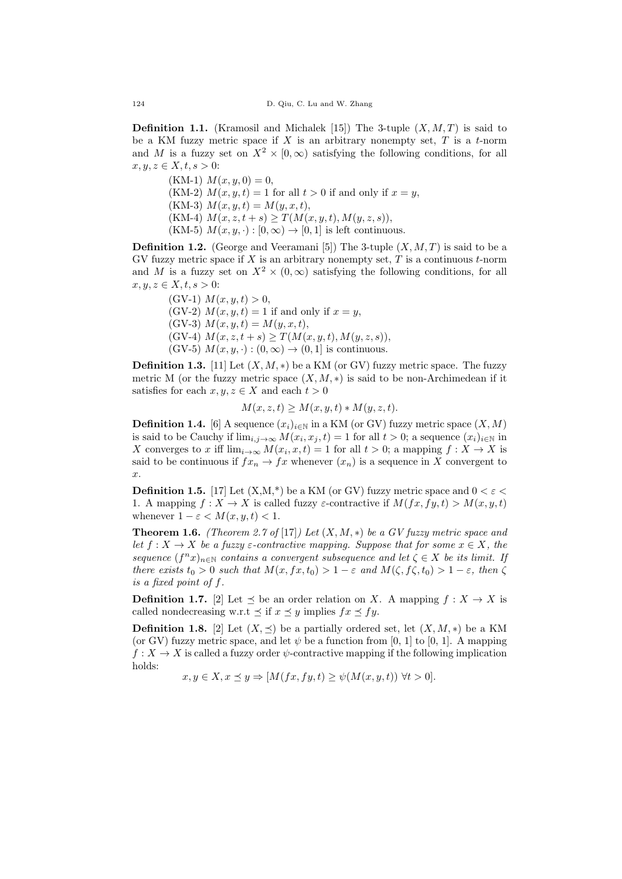**Definition 1.1.** (Kramosil and Michalek [15]) The 3-tuple  $(X, M, T)$  is said to be a KM fuzzy metric space if  $X$  is an arbitrary nonempty set,  $T$  is a t-norm and M is a fuzzy set on  $X^2 \times [0,\infty)$  satisfying the following conditions, for all  $x, y, z \in X, t, s > 0$ :

 $(KM-1)$   $M(x, y, 0) = 0$ , (KM-2)  $M(x, y, t) = 1$  for all  $t > 0$  if and only if  $x = y$ , (KM-3)  $M(x, y, t) = M(y, x, t),$ (KM-4)  $M(x, z, t + s) \geq T(M(x, y, t), M(y, z, s)),$ (KM-5)  $M(x, y, \cdot) : [0, \infty) \to [0, 1]$  is left continuous.

**Definition 1.2.** (George and Veeramani [5]) The 3-tuple  $(X, M, T)$  is said to be a GV fuzzy metric space if  $X$  is an arbitrary nonempty set,  $T$  is a continuous  $t$ -norm and M is a fuzzy set on  $X^2 \times (0, \infty)$  satisfying the following conditions, for all  $x, y, z \in X, t, s > 0$ :

(GV-1)  $M(x, y, t) > 0$ , (GV-2)  $M(x, y, t) = 1$  if and only if  $x = y$ , (GV-3)  $M(x, y, t) = M(y, x, t),$ (GV-4)  $M(x, z, t + s) \geq T(M(x, y, t), M(y, z, s)),$ (GV-5)  $M(x, y, \cdot) : (0, \infty) \to (0, 1]$  is continuous.

**Definition 1.3.** [11] Let  $(X, M, *)$  be a KM (or GV) fuzzy metric space. The fuzzy metric M (or the fuzzy metric space  $(X, M, *)$  is said to be non-Archimedean if it satisfies for each  $x, y, z \in X$  and each  $t > 0$ 

$$
M(x, z, t) \ge M(x, y, t) * M(y, z, t).
$$

**Definition 1.4.** [6] A sequence  $(x_i)_{i\in\mathbb{N}}$  in a KM (or GV) fuzzy metric space  $(X, M)$ is said to be Cauchy if  $\lim_{i,j\to\infty} M(x_i, x_j, t) = 1$  for all  $t > 0$ ; a sequence  $(x_i)_{i\in\mathbb{N}}$  in X converges to x iff  $\lim_{i\to\infty} M(x_i, x, t) = 1$  for all  $t > 0$ ; a mapping  $f : X \to X$  is said to be continuous if  $fx_n \to fx$  whenever  $(x_n)$  is a sequence in X convergent to  $\hat{x}$ .

**Definition 1.5.** [17] Let  $(X,M^*)$  be a KM (or GV) fuzzy metric space and  $0 < \varepsilon$ 1. A mapping  $f: X \to X$  is called fuzzy  $\varepsilon$ -contractive if  $M(fx, fy, t) > M(x, y, t)$ whenever  $1 - \varepsilon < M(x, y, t) < 1$ .

**Theorem 1.6.** (Theorem 2.7 of [17]) Let  $(X, M, *)$  be a GV fuzzy metric space and let  $f: X \to X$  be a fuzzy  $\varepsilon$ -contractive mapping. Suppose that for some  $x \in X$ , the sequence  $(f^n x)_{n \in \mathbb{N}}$  contains a convergent subsequence and let  $\zeta \in X$  be its limit. If there exists  $t_0 > 0$  such that  $M(x, fx, t_0) > 1 - \varepsilon$  and  $M(\zeta, f\zeta, t_0) > 1 - \varepsilon$ , then  $\zeta$ is a fixed point of f.

**Definition 1.7.** [2] Let  $\preceq$  be an order relation on X. A mapping  $f : X \to X$  is called nondecreasing w.r.t  $\preceq$  if  $x \preceq y$  implies  $fx \preceq fy$ .

**Definition 1.8.** [2] Let  $(X, \preceq)$  be a partially ordered set, let  $(X, M, *)$  be a KM (or GV) fuzzy metric space, and let  $\psi$  be a function from [0, 1] to [0, 1]. A mapping  $f: X \to X$  is called a fuzzy order  $\psi$ -contractive mapping if the following implication holds:

$$
x, y \in X, x \le y \Rightarrow [M(fx, fy, t) \ge \psi(M(x, y, t)) \,\forall t > 0].
$$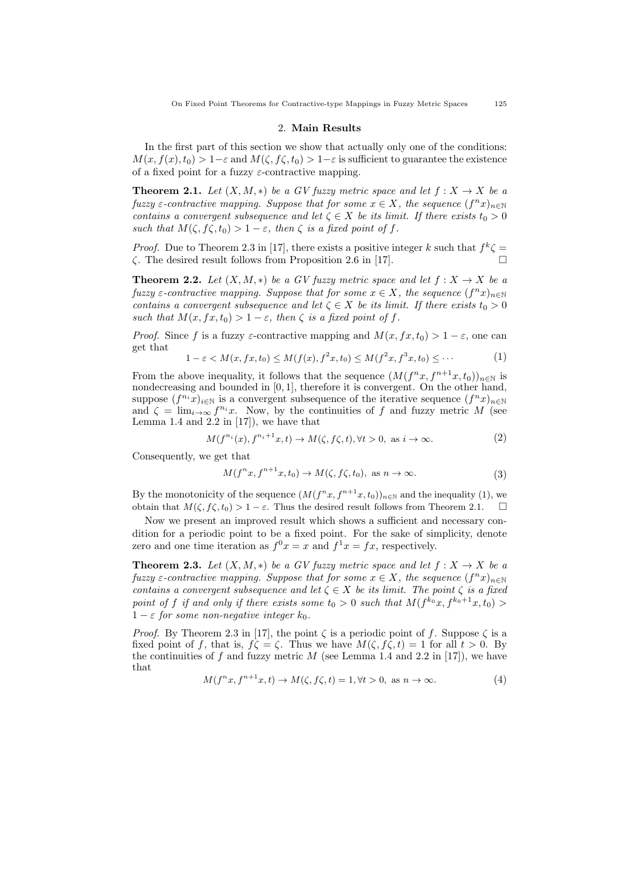On Fixed Point Theorems for Contractive-type Mappings in Fuzzy Metric Spaces 125

#### 2. Main Results

In the first part of this section we show that actually only one of the conditions:  $M(x, f(x), t_0) > 1-\varepsilon$  and  $M(\zeta, f\zeta, t_0) > 1-\varepsilon$  is sufficient to guarantee the existence of a fixed point for a fuzzy  $\varepsilon$ -contractive mapping.

**Theorem 2.1.** Let  $(X, M, *)$  be a GV fuzzy metric space and let  $f : X \to X$  be a fuzzy  $\varepsilon$ -contractive mapping. Suppose that for some  $x \in X$ , the sequence  $(f^n x)_{n \in \mathbb{N}}$ contains a convergent subsequence and let  $\zeta \in X$  be its limit. If there exists  $t_0 > 0$ such that  $M(\zeta, f\zeta, t_0) > 1 - \varepsilon$ , then  $\zeta$  is a fixed point of f.

*Proof.* Due to Theorem 2.3 in [17], there exists a positive integer k such that  $f^k \zeta =$ ζ. The desired result follows from Proposition 2.6 in [17].

**Theorem 2.2.** Let  $(X, M, *)$  be a GV fuzzy metric space and let  $f : X \to X$  be a fuzzy  $\varepsilon$ -contractive mapping. Suppose that for some  $x \in X$ , the sequence  $(f^n x)_{n \in \mathbb{N}}$ contains a convergent subsequence and let  $\zeta \in X$  be its limit. If there exists  $t_0 > 0$ such that  $M(x, fx, t_0) > 1 - \varepsilon$ , then  $\zeta$  is a fixed point of f.

*Proof.* Since f is a fuzzy  $\varepsilon$ -contractive mapping and  $M(x, fx, t_0) > 1 - \varepsilon$ , one can get that

$$
1 - \varepsilon < M(x, fx, t_0) \le M(f(x), f^2x, t_0) \le M(f^2x, f^3x, t_0) \le \cdots \tag{1}
$$

From the above inequality, it follows that the sequence  $(M(f^n x, f^{n+1} x, t_0))_{n \in \mathbb{N}}$  is nondecreasing and bounded in [0, 1], therefore it is convergent. On the other hand, suppose  $(f^{n_i}x)_{i\in\mathbb{N}}$  is a convergent subsequence of the iterative sequence  $(f^nx)_{n\in\mathbb{N}}$ and  $\zeta = \lim_{i \to \infty} f^{n_i}x$ . Now, by the continuities of f and fuzzy metric M (see Lemma 1.4 and 2.2 in  $[17]$ , we have that

$$
M(f^{n_i}(x), f^{n_i+1}x, t) \to M(\zeta, f\zeta, t), \forall t > 0, \text{ as } i \to \infty.
$$
 (2)

Consequently, we get that

$$
M(f^n x, f^{n+1} x, t_0) \to M(\zeta, f\zeta, t_0), \text{ as } n \to \infty.
$$
 (3)

By the monotonicity of the sequence  $(M(f^n x, f^{n+1} x, t_0))_{n \in \mathbb{N}}$  and the inequality (1), we obtain that  $M(\zeta, f\zeta, t_0) > 1 - \varepsilon$ . Thus the desired result follows from Theorem 2.1.

Now we present an improved result which shows a sufficient and necessary condition for a periodic point to be a fixed point. For the sake of simplicity, denote zero and one time iteration as  $f^0 x = x$  and  $f^1 x = fx$ , respectively.

**Theorem 2.3.** Let  $(X, M, *)$  be a GV fuzzy metric space and let  $f : X \to X$  be a fuzzy  $\varepsilon$ -contractive mapping. Suppose that for some  $x \in X$ , the sequence  $(f^n x)_{n \in \mathbb{N}}$ contains a convergent subsequence and let  $\zeta \in X$  be its limit. The point  $\zeta$  is a fixed point of f if and only if there exists some  $t_0 > 0$  such that  $M(f^{k_0}x, f^{k_0+1}x, t_0) >$  $1 - \varepsilon$  for some non-negative integer  $k_0$ .

*Proof.* By Theorem 2.3 in [17], the point  $\zeta$  is a periodic point of f. Suppose  $\zeta$  is a fixed point of f, that is,  $f\zeta = \zeta$ . Thus we have  $M(\zeta, f\zeta, t) = 1$  for all  $t > 0$ . By the continuities of f and fuzzy metric  $M$  (see Lemma 1.4 and 2.2 in [17]), we have that

$$
M(f^n x, f^{n+1} x, t) \to M(\zeta, f\zeta, t) = 1, \forall t > 0, \text{ as } n \to \infty.
$$
 (4)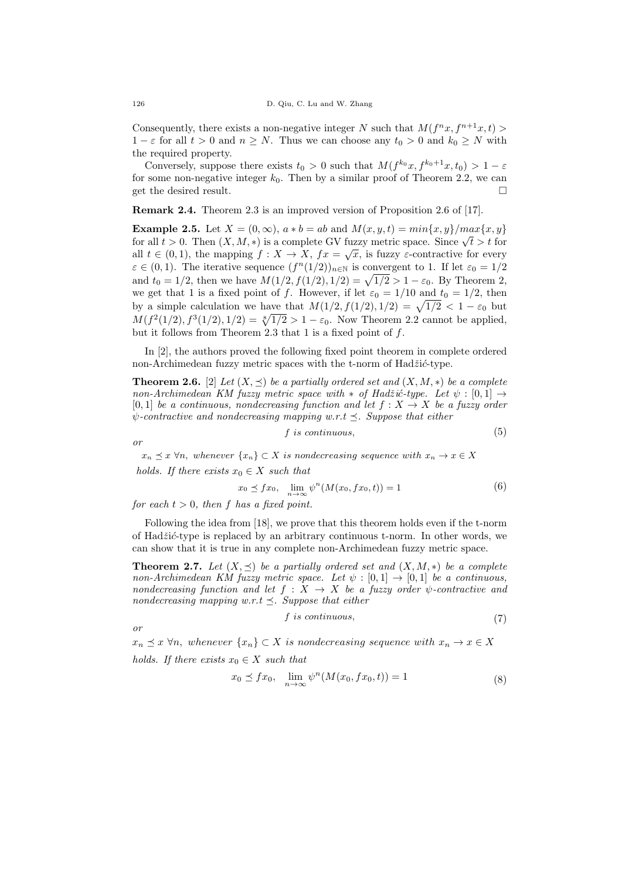Consequently, there exists a non-negative integer N such that  $M(f^n x, f^{n+1} x, t)$  $1 - \varepsilon$  for all  $t > 0$  and  $n \geq N$ . Thus we can choose any  $t_0 > 0$  and  $k_0 \geq N$  with the required property.

Conversely, suppose there exists  $t_0 > 0$  such that  $M(f^{k_0}x, f^{k_0+1}x, t_0) > 1 - \varepsilon$ for some non-negative integer  $k_0$ . Then by a similar proof of Theorem 2.2, we can get the desired result.

Remark 2.4. Theorem 2.3 is an improved version of Proposition 2.6 of [17].

**Example 2.5.** Let  $X = (0, \infty)$ ,  $a * b = ab$  and  $M(x, y, t) = min\{x, y\}/max\{x, y\}$ **Example 2.5.** Let  $X = (0, \infty)$ ,  $a * b = ab$  and  $M(x, y, t) = min\{x, y\}/max\{x, y\}$ <br>for all  $t > 0$ . Then  $(X, M, *)$  is a complete GV fuzzy metric space. Since  $\sqrt{t} > t$  for all  $t \in (0,1)$ , the mapping  $f: X \to X$ ,  $fx = \sqrt{x}$ , is fuzzy  $\varepsilon$ -contractive for every  $\varepsilon \in (0,1)$ . The iterative sequence  $(f^{n}(1/2))_{n\in\mathbb{N}}$  is convergent to 1. If let  $\varepsilon_0 = 1/2$ and  $t_0 = 1/2$ , then we have  $M(1/2, f(1/2), 1/2) = \sqrt{1/2} > 1 - \varepsilon_0$ . By Theorem 2, we get that 1 is a fixed point of f. However, if let  $\varepsilon_0 = 1/10$  and  $t_0 = 1/2$ , then by a simple calculation we have that  $M(1/2, f(1/2), 1/2) = \sqrt{1/2} < 1 - \varepsilon_0$  but  $M(f^2(1/2), f^3(1/2), 1/2) = \sqrt[8]{1/2} > 1 - \varepsilon_0$ . Now Theorem 2.2 cannot be applied, but it follows from Theorem 2.3 that 1 is a fixed point of  $f$ .

In [2], the authors proved the following fixed point theorem in complete ordered non-Archimedean fuzzy metric spaces with the t-norm of  $Had\ddot{z}i\acute{c}$ -type.

**Theorem 2.6.** [2] Let  $(X, \preceq)$  be a partially ordered set and  $(X, M, *)$  be a complete non-Archimedean KM fuzzy metric space with  $*$  of Hadžić-type. Let  $\psi : [0,1] \rightarrow$ [0,1] be a continuous, nondecreasing function and let  $f: X \rightarrow X$  be a fuzzy order  $\psi$ -contractive and nondecreasing mapping w.r.t  $\preceq$ . Suppose that either

$$
f \text{ is continuous}, \tag{5}
$$

or

 $x_n \preceq x \forall n$ , whenever  $\{x_n\} \subset X$  is nondecreasing sequence with  $x_n \to x \in X$ holds. If there exists  $x_0 \in X$  such that

$$
x_0 \le fx_0, \quad \lim_{n \to \infty} \psi^n(M(x_0, fx_0, t)) = 1 \tag{6}
$$

for each  $t > 0$ , then f has a fixed point.

Following the idea from [18], we prove that this theorem holds even if the t-norm of  $Hadžić-type$  is replaced by an arbitrary continuous t-norm. In other words, we can show that it is true in any complete non-Archimedean fuzzy metric space.

**Theorem 2.7.** Let  $(X, \prec)$  be a partially ordered set and  $(X, M, *)$  be a complete non-Archimedean KM fuzzy metric space. Let  $\psi : [0,1] \rightarrow [0,1]$  be a continuous, nondecreasing function and let  $f : X \rightarrow X$  be a fuzzy order  $\psi$ -contractive and nondecreasing mapping w.r.t  $\preceq$ . Suppose that either

$$
f \text{ is continuous},\tag{7}
$$

or

 $x_n \preceq x \forall n$ , whenever  $\{x_n\} \subset X$  is nondecreasing sequence with  $x_n \to x \in X$ holds. If there exists  $x_0 \in X$  such that

$$
x_0 \preceq fx_0, \quad \lim_{n \to \infty} \psi^n(M(x_0, fx_0, t)) = 1 \tag{8}
$$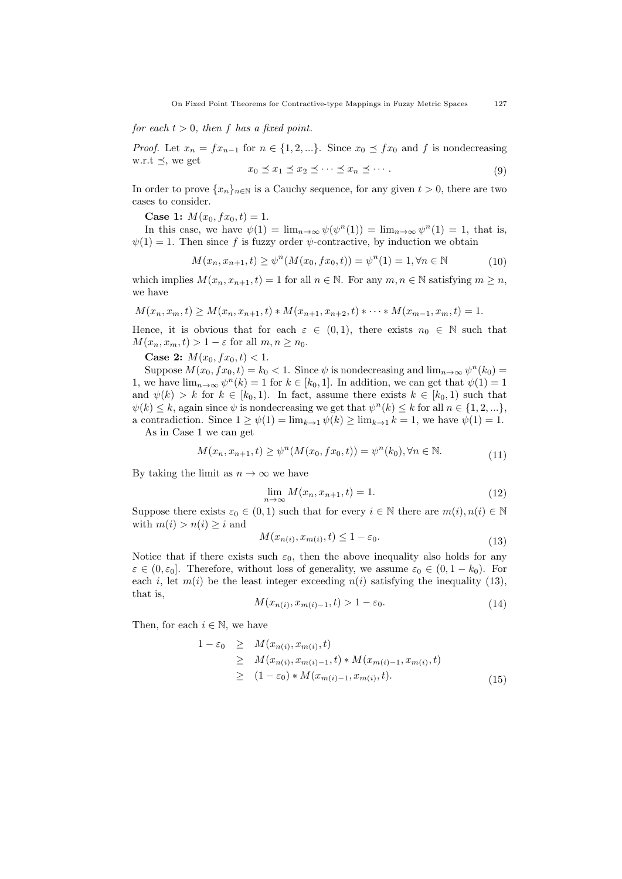for each  $t > 0$ , then f has a fixed point.

*Proof.* Let  $x_n = fx_{n-1}$  for  $n \in \{1, 2, ...\}$ . Since  $x_0 \preceq fx_0$  and f is nondecreasing w.r.t  $\preceq$ , we get

$$
x_0 \preceq x_1 \preceq x_2 \preceq \cdots \preceq x_n \preceq \cdots. \tag{9}
$$

In order to prove  ${x_n}_{n\in\mathbb{N}}$  is a Cauchy sequence, for any given  $t > 0$ , there are two cases to consider.

Case 1:  $M(x_0, fx_0, t) = 1$ .

In this case, we have  $\psi(1) = \lim_{n \to \infty} \psi(\psi^n(1)) = \lim_{n \to \infty} \psi^n(1) = 1$ , that is,  $\psi(1) = 1$ . Then since f is fuzzy order  $\psi$ -contractive, by induction we obtain

$$
M(x_n, x_{n+1}, t) \ge \psi^n(M(x_0, fx_0, t)) = \psi^n(1) = 1, \forall n \in \mathbb{N}
$$
 (10)

which implies  $M(x_n, x_{n+1}, t) = 1$  for all  $n \in \mathbb{N}$ . For any  $m, n \in \mathbb{N}$  satisfying  $m \geq n$ , we have

$$
M(x_n, x_m, t) \ge M(x_n, x_{n+1}, t) * M(x_{n+1}, x_{n+2}, t) * \cdots * M(x_{m-1}, x_m, t) = 1.
$$

Hence, it is obvious that for each  $\varepsilon \in (0,1)$ , there exists  $n_0 \in \mathbb{N}$  such that  $M(x_n, x_m, t) > 1 - \varepsilon$  for all  $m, n \geq n_0$ .

Case 2:  $M(x_0, fx_0, t) < 1$ .

Suppose  $M(x_0, fx_0, t) = k_0 < 1$ . Since  $\psi$  is nondecreasing and  $\lim_{n \to \infty} \psi^n(k_0) =$ 1, we have  $\lim_{n\to\infty}\psi^n(k)=1$  for  $k\in[k_0,1]$ . In addition, we can get that  $\psi(1)=1$ and  $\psi(k) > k$  for  $k \in [k_0, 1)$ . In fact, assume there exists  $k \in [k_0, 1)$  such that  $\psi(k) \leq k$ , again since  $\psi$  is nondecreasing we get that  $\psi^{n}(k) \leq k$  for all  $n \in \{1, 2, ...\}$ , a contradiction. Since  $1 \ge \psi(1) = \lim_{k \to 1} \psi(k) \ge \lim_{k \to 1} k = 1$ , we have  $\psi(1) = 1$ .

As in Case 1 we can get

$$
M(x_n, x_{n+1}, t) \ge \psi^n(M(x_0, fx_0, t)) = \psi^n(k_0), \forall n \in \mathbb{N}.
$$
\n(11)

By taking the limit as  $n \to \infty$  we have

$$
\lim_{n \to \infty} M(x_n, x_{n+1}, t) = 1.
$$
\n(12)

Suppose there exists  $\varepsilon_0 \in (0,1)$  such that for every  $i \in \mathbb{N}$  there are  $m(i), n(i) \in \mathbb{N}$ with  $m(i) > n(i) \geq i$  and

$$
M(x_{n(i)}, x_{m(i)}, t) \le 1 - \varepsilon_0. \tag{13}
$$

Notice that if there exists such  $\varepsilon_0$ , then the above inequality also holds for any  $\varepsilon \in (0, \varepsilon_0]$ . Therefore, without loss of generality, we assume  $\varepsilon_0 \in (0, 1 - k_0)$ . For each i, let  $m(i)$  be the least integer exceeding  $n(i)$  satisfying the inequality (13), that is,

$$
M(x_{n(i)}, x_{m(i)-1}, t) > 1 - \varepsilon_0.
$$
\n(14)

Then, for each  $i \in \mathbb{N}$ , we have

$$
\begin{aligned}\n1 - \varepsilon_0 &\geq M(x_{n(i)}, x_{m(i)}, t) \\
&\geq M(x_{n(i)}, x_{m(i)-1}, t) * M(x_{m(i)-1}, x_{m(i)}, t) \\
&\geq (1 - \varepsilon_0) * M(x_{m(i)-1}, x_{m(i)}, t).\n\end{aligned} \tag{15}
$$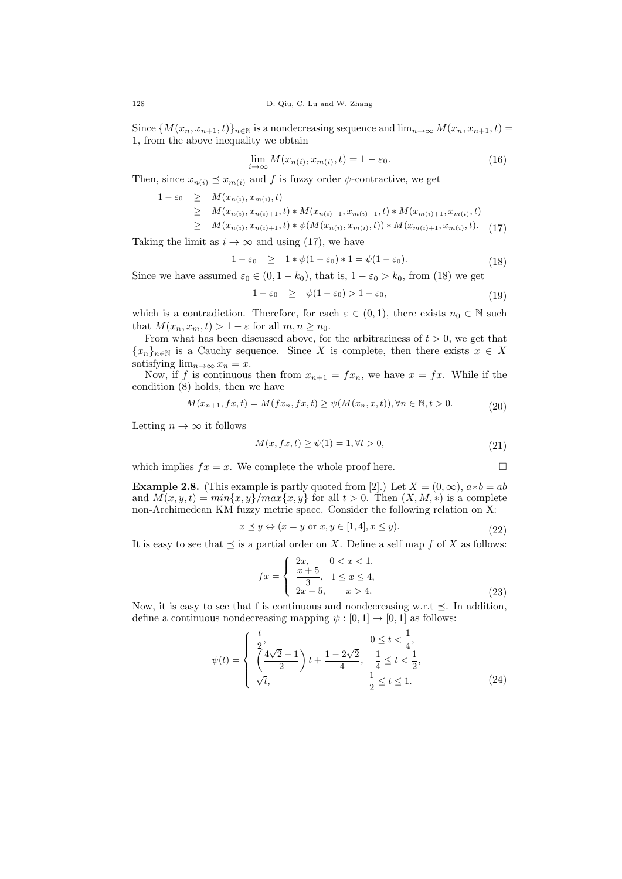Since  ${M(x_n, x_{n+1}, t)}_{n \in \mathbb{N}}$  is a nondecreasing sequence and  $\lim_{n \to \infty} M(x_n, x_{n+1}, t)$ 1, from the above inequality we obtain

$$
\lim_{i \to \infty} M(x_{n(i)}, x_{m(i)}, t) = 1 - \varepsilon_0. \tag{16}
$$

Then, since  $x_{n(i)} \preceq x_{m(i)}$  and f is fuzzy order  $\psi$ -contractive, we get

$$
1 - \varepsilon_0 \geq M(x_{n(i)}, x_{m(i)}, t)
$$
  
\n
$$
\geq M(x_{n(i)}, x_{n(i)+1}, t) * M(x_{n(i)+1}, x_{m(i)+1}, t) * M(x_{m(i)+1}, x_{m(i)}, t)
$$
  
\n
$$
\geq M(x_{n(i)}, x_{n(i)+1}, t) * \psi(M(x_{n(i)}, x_{m(i)}, t)) * M(x_{m(i)+1}, x_{m(i)}, t).
$$
 (17)

Taking the limit as  $i \to \infty$  and using (17), we have

$$
1 - \varepsilon_0 \geq 1 * \psi(1 - \varepsilon_0) * 1 = \psi(1 - \varepsilon_0). \tag{18}
$$

Since we have assumed  $\varepsilon_0 \in (0, 1 - k_0)$ , that is,  $1 - \varepsilon_0 > k_0$ , from (18) we get

$$
1 - \varepsilon_0 \ge \psi(1 - \varepsilon_0) > 1 - \varepsilon_0,\tag{19}
$$

which is a contradiction. Therefore, for each  $\varepsilon \in (0,1)$ , there exists  $n_0 \in \mathbb{N}$  such that  $M(x_n, x_m, t) > 1 - \varepsilon$  for all  $m, n \ge n_0$ .

From what has been discussed above, for the arbitrariness of  $t > 0$ , we get that  ${x_n}_{n\in\mathbb{N}}$  is a Cauchy sequence. Since X is complete, then there exists  $x \in X$ satisfying  $\lim_{n\to\infty} x_n = x$ .

Now, if f is continuous then from  $x_{n+1} = fx_n$ , we have  $x = fx$ . While if the condition (8) holds, then we have

$$
M(x_{n+1}, fx, t) = M(fx_n, fx, t) \ge \psi(M(x_n, x, t)), \forall n \in \mathbb{N}, t > 0.
$$
 (20)

Letting  $n \to \infty$  it follows

$$
M(x, fx, t) \ge \psi(1) = 1, \forall t > 0,
$$
\n(21)

which implies  $fx = x$ . We complete the whole proof here.

**Example 2.8.** (This example is partly quoted from [2].) Let 
$$
X = (0, \infty)
$$
,  $a * b = ab$  and  $M(x, y, t) = min\{x, y\}/max\{x, y\}$  for all  $t > 0$ . Then  $(X, M, *)$  is a complete non-Archimedean KM fuzzy metric space. Consider the following relation on X:

$$
x \preceq y \Leftrightarrow (x = y \text{ or } x, y \in [1, 4], x \le y). \tag{22}
$$

It is easy to see that  $\preceq$  is a partial order on X. Define a self map f of X as follows:

$$
fx = \begin{cases} 2x, & 0 < x < 1, \\ \frac{x+5}{3}, & 1 \le x \le 4, \\ 2x - 5, & x > 4. \end{cases} \tag{23}
$$

Now, it is easy to see that f is continuous and nondecreasing w.r.t  $\prec$ . In addition, define a continuous nondecreasing mapping  $\psi : [0, 1] \to [0, 1]$  as follows:

$$
\psi(t) = \begin{cases} \frac{t}{2}, & 0 \le t < \frac{1}{4}, \\ \left(\frac{4\sqrt{2}-1}{2}\right)t + \frac{1-2\sqrt{2}}{4}, & \frac{1}{4} \le t < \frac{1}{2}, \\ \sqrt{t}, & \frac{1}{2} \le t \le 1. \end{cases}
$$
(24)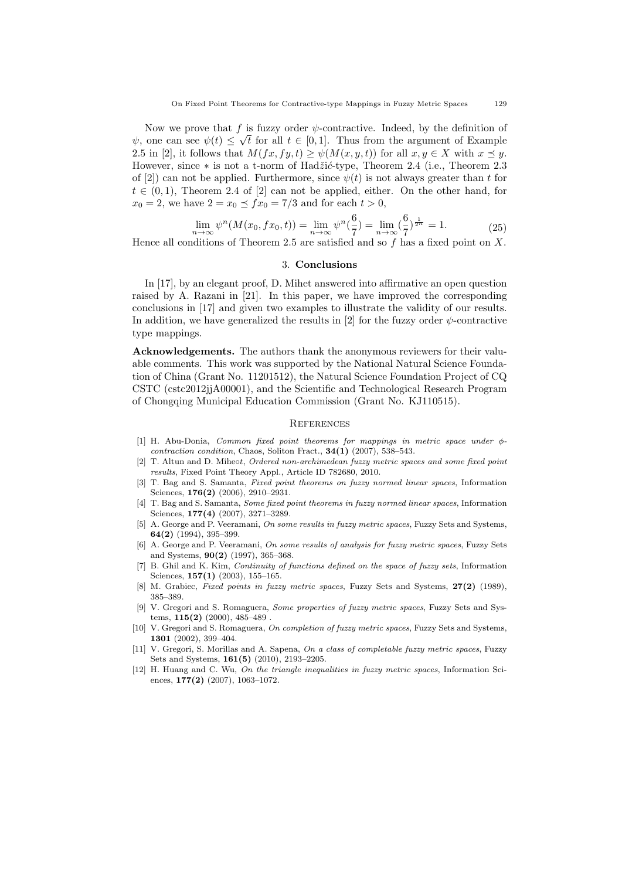Now we prove that f is fuzzy order  $\psi$ -contractive. Indeed, by the definition of  $\psi$ , one can see  $\psi(t) \leq \sqrt{t}$  for all  $t \in [0,1]$ . Thus from the argument of Example 2.5 in [2], it follows that  $M(fx, fy, t) \geq \psi(M(x, y, t))$  for all  $x, y \in X$  with  $x \preceq y$ . However, since ∗ is not a t-norm of Hadžić-type, Theorem 2.4 (i.e., Theorem 2.3 of [2]) can not be applied. Furthermore, since  $\psi(t)$  is not always greater than t for  $t \in (0,1)$ , Theorem 2.4 of [2] can not be applied, either. On the other hand, for  $x_0 = 2$ , we have  $2 = x_0 \leq fx_0 = 7/3$  and for each  $t > 0$ ,

$$
\lim_{n \to \infty} \psi^n(M(x_0, fx_0, t)) = \lim_{n \to \infty} \psi^n(\frac{6}{7}) = \lim_{n \to \infty} (\frac{6}{7})^{\frac{1}{2^n}} = 1.
$$
\n(25)

Hence all conditions of Theorem 2.5 are satisfied and so  $f$  has a fixed point on  $X$ .

### 3. Conclusions

In [17], by an elegant proof, D. Mihet answered into affirmative an open question raised by A. Razani in [21]. In this paper, we have improved the corresponding conclusions in [17] and given two examples to illustrate the validity of our results. In addition, we have generalized the results in [2] for the fuzzy order  $\psi$ -contractive type mappings.

Acknowledgements. The authors thank the anonymous reviewers for their valuable comments. This work was supported by the National Natural Science Foundation of China (Grant No. 11201512), the Natural Science Foundation Project of CQ CSTC (cstc2012jjA00001), and the Scientific and Technological Research Program of Chongqing Municipal Education Commission (Grant No. KJ110515).

#### **REFERENCES**

- [1] H. Abu-Donia, Common fixed point theorems for mappings in metric space under  $\phi$ contraction condition, Chaos, Soliton Fract.,  $34(1)$  (2007), 538-543.
- [2] T. Altun and D. Miheot, Ordered non-archimedean fuzzy metric spaces and some fixed point results, Fixed Point Theory Appl., Article ID 782680, 2010.
- [3] T. Bag and S. Samanta, Fixed point theorems on fuzzy normed linear spaces, Information Sciences, **176(2)** (2006), 2910–2931.
- [4] T. Bag and S. Samanta, Some fixed point theorems in fuzzy normed linear spaces, Information Sciences, 177(4) (2007), 3271–3289.
- [5] A. George and P. Veeramani, On some results in fuzzy metric spaces, Fuzzy Sets and Systems, 64(2) (1994), 395–399.
- [6] A. George and P. Veeramani, On some results of analysis for fuzzy metric spaces, Fuzzy Sets and Systems, 90(2) (1997), 365–368.
- [7] B. Ghil and K. Kim, *Continuity of functions defined on the space of fuzzy sets*, Information Sciences, **157(1)** (2003), 155-165.
- [8] M. Grabiec, Fixed points in fuzzy metric spaces, Fuzzy Sets and Systems, 27(2) (1989), 385–389.
- [9] V. Gregori and S. Romaguera, Some properties of fuzzy metric spaces, Fuzzy Sets and Systems,  $115(2)$  (2000), 485–489
- [10] V. Gregori and S. Romaguera, On completion of fuzzy metric spaces, Fuzzy Sets and Systems, 1301 (2002), 399–404.
- [11] V. Gregori, S. Morillas and A. Sapena, On a class of completable fuzzy metric spaces, Fuzzy Sets and Systems, 161(5) (2010), 2193–2205.
- [12] H. Huang and C. Wu, On the triangle inequalities in fuzzy metric spaces, Information Sciences, 177(2) (2007), 1063–1072.